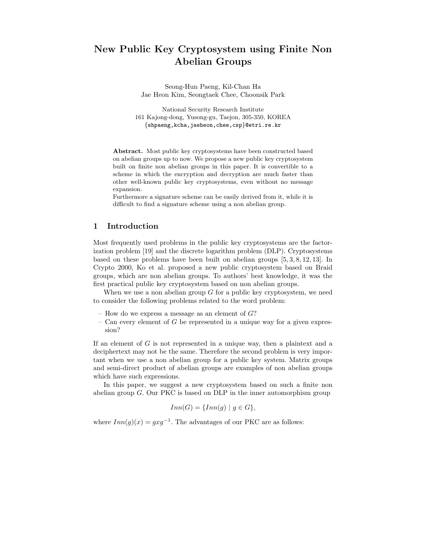# New Public Key Cryptosystem using Finite Non Abelian Groups

Seong-Hun Paeng, Kil-Chan Ha Jae Heon Kim, Seongtaek Chee, Choonsik Park

National Security Research Institute 161 Kajong-dong, Yusong-gu, Taejon, 305-350, KOREA {shpaeng,kcha,jaeheon,chee,csp}@etri.re.kr

Abstract. Most public key cryptosystems have been constructed based on abelian groups up to now. We propose a new public key cryptosystem built on finite non abelian groups in this paper. It is convertible to a scheme in which the encryption and decryption are much faster than other well-known public key cryptosystems, even without no message expansion.

Furthermore a signature scheme can be easily derived from it, while it is difficult to find a signature scheme using a non abelian group.

# 1 Introduction

Most frequently used problems in the public key cryptosystems are the factorization problem [19] and the discrete logarithm problem (DLP). Cryptosystems based on these problems have been built on abelian groups [5, 3, 8, 12, 13]. In Crypto 2000, Ko et al. proposed a new public cryptosystem based on Braid groups, which are non abelian groups. To authors' best knowledge, it was the first practical public key cryptosystem based on non abelian groups.

When we use a non abelian group  $G$  for a public key cryptosystem, we need to consider the following problems related to the word problem:

- How do we express a message as an element of  $G$ ?
- Can every element of  $G$  be represented in a unique way for a given expression?

If an element of  $G$  is not represented in a unique way, then a plaintext and a deciphertext may not be the same. Therefore the second problem is very important when we use a non abelian group for a public key system. Matrix groups and semi-direct product of abelian groups are examples of non abelian groups which have such expressions.

In this paper, we suggest a new cryptosystem based on such a finite non abelian group  $G$ . Our PKC is based on DLP in the inner automorphism group

$$
Inn(G) = \{Inn(g) \mid g \in G\},\
$$

where  $Inn(g)(x) = gxg^{-1}$ . The advantages of our PKC are as follows: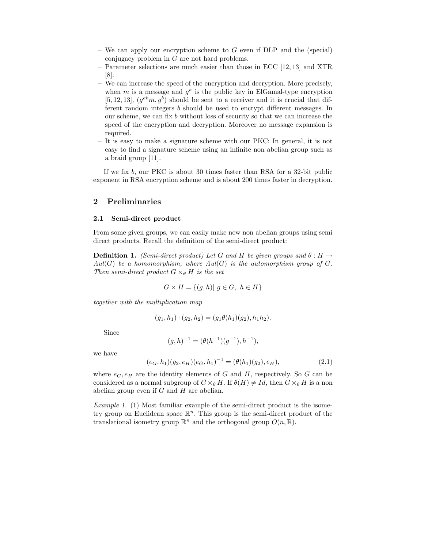- We can apply our encryption scheme to  $G$  even if DLP and the (special) conjugacy problem in G are not hard problems.
- Parameter selections are much easier than those in ECC [12, 13] and XTR [8].
- We can increase the speed of the encryption and decryption. More precisely, when  $m$  is a message and  $g^a$  is the public key in ElGamal-type encryption [5, 12, 13],  $(g^{ab}m, g^{b})$  should be sent to a receiver and it is crucial that different random integers b should be used to encrypt different messages. In our scheme, we can fix b without loss of security so that we can increase the speed of the encryption and decryption. Moreover no message expansion is required.
- It is easy to make a signature scheme with our PKC: In general, it is not easy to find a signature scheme using an infinite non abelian group such as a braid group [11].

If we fix b, our PKC is about 30 times faster than RSA for a 32-bit public exponent in RSA encryption scheme and is about 200 times faster in decryption.

## 2 Preliminaries

#### 2.1 Semi-direct product

From some given groups, we can easily make new non abelian groups using semi direct products. Recall the definition of the semi-direct product:

**Definition 1.** (Semi-direct product) Let G and H be given groups and  $\theta : H \rightarrow$  $Aut(G)$  be a homomorphism, where  $Aut(G)$  is the automorphism group of G. Then semi-direct product  $G \times_{\theta} H$  is the set

$$
G \times H = \{(g, h) | g \in G, h \in H\}
$$

together with the multiplication map

$$
(g_1, h_1) \cdot (g_2, h_2) = (g_1 \theta(h_1)(g_2), h_1 h_2).
$$

Since

$$
(g,h)^{-1} = (\theta(h^{-1})(g^{-1}),h^{-1}),
$$

we have

$$
(e_G, h_1)(g_2, e_H)(e_G, h_1)^{-1} = (\theta(h_1)(g_2), e_H), \tag{2.1}
$$

where  $e_G, e_H$  are the identity elements of G and H, respectively. So G can be considered as a normal subgroup of  $G\times_{\theta} H$ . If  $\theta(H) \neq Id$ , then  $G\times_{\theta} H$  is a non abelian group even if  $G$  and  $H$  are abelian.

Example 1. (1) Most familiar example of the semi-direct product is the isometry group on Euclidean space  $\mathbb{R}^n$ . This group is the semi-direct product of the translational isometry group  $\mathbb{R}^n$  and the orthogonal group  $O(n, \mathbb{R})$ .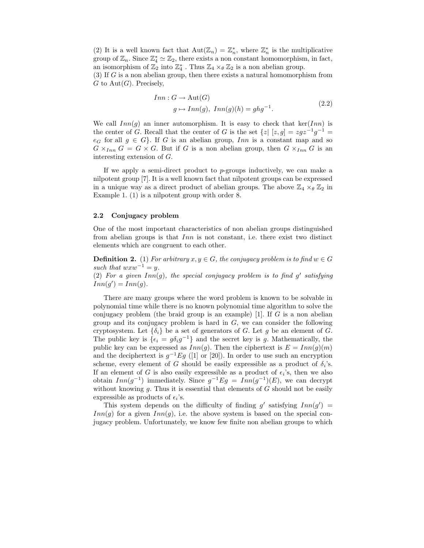(2) It is a well known fact that  $\text{Aut}(\mathbb{Z}_n) = \mathbb{Z}_n^*$ , where  $\mathbb{Z}_n^*$  is the multiplicative group of  $\mathbb{Z}_n$ . Since  $\mathbb{Z}_4^* \simeq \mathbb{Z}_2$ , there exists a non constant homomorphism, in fact, an isomorphism of  $\mathbb{Z}_2$  into  $\mathbb{Z}_4^*$ . Thus  $\mathbb{Z}_4 \times_{\theta} \mathbb{Z}_2$  is a non abelian group.

(3) If G is a non abelian group, then there exists a natural homomorphism from  $G$  to  $Aut(G)$ . Precisely,

$$
Inn: G \to \text{Aut}(G)
$$
  

$$
g \mapsto Inn(g), \ Inn(g)(h) = ghg^{-1}.
$$
 (2.2)

We call  $Inn(g)$  an inner automorphism. It is easy to check that  $ker(Inn)$  is the center of G. Recall that the center of G is the set  $\{z \mid [z,g] = zgz^{-1}g^{-1} =$  $e_G$  for all  $g \in G$ . If G is an abelian group, Inn is a constant map and so  $G \times_{Inn} G = G \times G$ . But if G is a non abelian group, then  $G \times_{Inn} G$  is an interesting extension of G.

If we apply a semi-direct product to  $p$ -groups inductively, we can make a nilpotent group [7]. It is a well known fact that nilpotent groups can be expressed in a unique way as a direct product of abelian groups. The above  $\mathbb{Z}_4 \times_{\theta} \mathbb{Z}_2$  in Example 1. (1) is a nilpotent group with order 8.

## 2.2 Conjugacy problem

One of the most important characteristics of non abelian groups distinguished from abelian groups is that  $Inn$  is not constant, i.e. there exist two distinct elements which are congruent to each other.

**Definition 2.** (1) For arbitrary  $x, y \in G$ , the conjugacy problem is to find  $w \in G$ such that  $wxw^{-1} = y$ .

(2) For a given  $Inn(g)$ , the special conjugacy problem is to find  $g'$  satisfying  $Inn(g') = Inn(g).$ 

There are many groups where the word problem is known to be solvable in polynomial time while there is no known polynomial time algorithm to solve the conjugacy problem (the braid group is an example) [1]. If  $G$  is a non abelian group and its conjugacy problem is hard in  $G$ , we can consider the following cryptosystem. Let  $\{\delta_i\}$  be a set of generators of G. Let g be an element of G. The public key is  $\{\epsilon_i = g\delta_i g^{-1}\}\$  and the secret key is g. Mathematically, the public key can be expressed as  $Inn(g)$ . Then the ciphertext is  $E = Inn(g)(m)$ and the deciphertext is  $g^{-1}Eg$  ([1] or [20]). In order to use such an encryption scheme, every element of G should be easily expressible as a product of  $\delta_i$ 's. If an element of G is also easily expressible as a product of  $\epsilon_i$ 's, then we also obtain  $Inn(g^{-1})$  immediately. Since  $g^{-1}Eg = Inn(g^{-1})(E)$ , we can decrypt without knowing  $q$ . Thus it is essential that elements of  $G$  should not be easily expressible as products of  $\epsilon_i$ 's.

This system depends on the difficulty of finding  $g'$  satisfying  $Inn(g') =$  $Inn(g)$  for a given  $Inn(g)$ , i.e. the above system is based on the special conjugacy problem. Unfortunately, we know few finite non abelian groups to which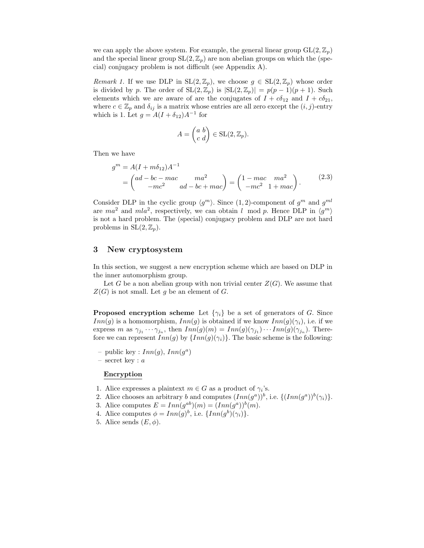we can apply the above system. For example, the general linear group  $GL(2,\mathbb{Z}_p)$ and the special linear group  $SL(2,\mathbb{Z}_p)$  are non abelian groups on which the (special) conjugacy problem is not difficult (see Appendix A).

*Remark 1.* If we use DLP in  $SL(2, \mathbb{Z}_p)$ , we choose  $g \in SL(2, \mathbb{Z}_p)$  whose order is divided by p. The order of  $SL(2,\mathbb{Z}_p)$  is  $|SL(2,\mathbb{Z}_p)| = p(p-1)(p+1)$ . Such elements which we are aware of are the conjugates of  $I + c\delta_{12}$  and  $I + c\delta_{21}$ , where  $c \in \mathbb{Z}_p$  and  $\delta_{ij}$  is a matrix whose entries are all zero except the  $(i, j)$ -entry which is 1. Let  $g = A(I + \delta_{12})A^{-1}$  for

$$
A = \begin{pmatrix} a & b \\ c & d \end{pmatrix} \in \text{SL}(2, \mathbb{Z}_p).
$$

Then we have

$$
g^{m} = A(I + m\delta_{12})A^{-1}
$$
  
=  $\begin{pmatrix} ad - bc - mac & ma^{2} \\ -mc^{2} & ad - bc + mac \end{pmatrix} = \begin{pmatrix} 1 - mac & ma^{2} \\ -mc^{2} & 1 + mac \end{pmatrix}.$  (2.3)

Consider DLP in the cyclic group  $\langle g^m \rangle$ . Since  $(1, 2)$ -component of  $g^m$  and  $g^{ml}$ are  $ma^2$  and  $mla^2$ , respectively, we can obtain l mod p. Hence DLP in  $\langle g^m \rangle$ is not a hard problem. The (special) conjugacy problem and DLP are not hard problems in  $SL(2, \mathbb{Z}_p)$ .

## 3 New cryptosystem

In this section, we suggest a new encryption scheme which are based on DLP in the inner automorphism group.

Let G be a non abelian group with non trivial center  $Z(G)$ . We assume that  $Z(G)$  is not small. Let g be an element of G.

**Proposed encryption scheme** Let  $\{\gamma_i\}$  be a set of generators of G. Since  $Inn(g)$  is a homomorphism,  $Inn(g)$  is obtained if we know  $Inn(g)(\gamma_i)$ , i.e. if we express m as  $\gamma_{j_1} \cdots \gamma_{j_n}$ , then  $Inn(g)(m) = Inn(g)(\gamma_{j_1}) \cdots Inn(g)(\gamma_{j_n})$ . Therefore we can represent  $Inn(g)$  by  $\{Inn(g)(\gamma_i)\}$ . The basic scheme is the following:

- public key :  $Inn(g), Inn(g^a)$
- secret key :  $a$

#### Encryption

- 1. Alice expresses a plaintext  $m \in G$  as a product of  $\gamma_i$ 's.
- 2. Alice chooses an arbitrary b and computes  $(Inn(g<sup>a</sup>))<sup>b</sup>$ , i.e.  $\{(Inn(g<sup>a</sup>))<sup>b</sup>(\gamma_i)\}.$
- 3. Alice computes  $E = Inn(g^{ab})(m) = (Inn(g^{a}))^{b}(m)$ .
- 4. Alice computes  $\phi = Inn(g)^b$ , i.e.  $\{Inn(g^b)(\gamma_i)\}.$
- 5. Alice sends  $(E, \phi)$ .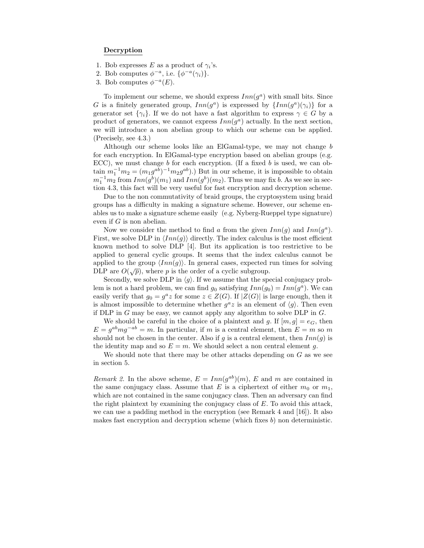#### Decryption

- 1. Bob expresses E as a product of  $\gamma_i$ 's.
- 2. Bob computes  $\phi^{-a}$ , i.e.  $\{\phi^{-a}(\gamma_i)\}.$
- 3. Bob computes  $\phi^{-a}(E)$ .

To implement our scheme, we should express  $Inn(g<sup>a</sup>)$  with small bits. Since G is a finitely generated group,  $Inn(g<sup>a</sup>)$  is expressed by  $\{Inn(g<sup>a</sup>)(\gamma_i)\}$  for a generator set  $\{\gamma_i\}$ . If we do not have a fast algorithm to express  $\gamma \in G$  by a product of generators, we cannot express  $Inn(g<sup>a</sup>)$  actually. In the next section, we will introduce a non abelian group to which our scheme can be applied. (Precisely, see 4.3.)

Although our scheme looks like an ElGamal-type, we may not change b for each encryption. In ElGamal-type encryption based on abelian groups (e.g. ECC), we must change  $b$  for each encryption. (If a fixed  $b$  is used, we can obtain  $m_1^{-1}m_2 = (m_1 g^{ab})^{-1} m_2 g^{ab}$ .) But in our scheme, it is impossible to obtain  $m_1^{-1}m_2$  from  $Inn(g^b)(m_1)$  and  $Inn(g^b)(m_2)$ . Thus we may fix b. As we see in section 4.3, this fact will be very useful for fast encryption and decryption scheme.

Due to the non commutativity of braid groups, the cryptosystem using braid groups has a difficulty in making a signature scheme. However, our scheme enables us to make a signature scheme easily (e.g. Nyberg-Rueppel type signature) even if  $G$  is non abelian.

Now we consider the method to find a from the given  $Inn(g)$  and  $Inn(g<sup>a</sup>)$ . First, we solve DLP in  $\langle Inn(g) \rangle$  directly. The index calculus is the most efficient known method to solve DLP [4]. But its application is too restrictive to be applied to general cyclic groups. It seems that the index calculus cannot be applied to the group  $\langle Inn(g) \rangle$ . In general cases, expected run times for solving DLP are  $O(\sqrt{p})$ , where p is the order of a cyclic subgroup.

Secondly, we solve DLP in  $\langle q \rangle$ . If we assume that the special conjugacy problem is not a hard problem, we can find  $g_0$  satisfying  $Inn(g_0) = Inn(g^a)$ . We can easily verify that  $g_0 = g^a z$  for some  $z \in Z(G)$ . If  $|Z(G)|$  is large enough, then it is almost impossible to determine whether  $g^a z$  is an element of  $\langle g \rangle$ . Then even if DLP in  $G$  may be easy, we cannot apply any algorithm to solve DLP in  $G$ .

We should be careful in the choice of a plaintext and g. If  $[m, g] = e_G$ , then  $E = g^{ab}mg^{-ab} = m$ . In particular, if m is a central element, then  $E = m$  so m should not be chosen in the center. Also if g is a central element, then  $Inn(g)$  is the identity map and so  $E = m$ . We should select a non central element g.

We should note that there may be other attacks depending on  $G$  as we see in section 5.

Remark 2. In the above scheme,  $E = Inn(g^{ab})(m)$ , E and m are contained in the same conjugacy class. Assume that E is a ciphertext of either  $m_0$  or  $m_1$ , which are not contained in the same conjugacy class. Then an adversary can find the right plaintext by examining the conjugacy class of  $E$ . To avoid this attack, we can use a padding method in the encryption (see Remark 4 and [16]). It also makes fast encryption and decryption scheme (which fixes  $b$ ) non deterministic.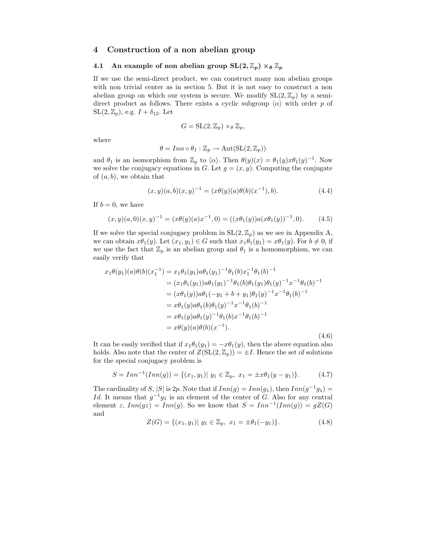# 4 Construction of a non abelian group

## 4.1 An example of non abelian group  $SL(2, \mathbb{Z}_p) \times_{\theta} \mathbb{Z}_p$

If we use the semi-direct product, we can construct many non abelian groups with non trivial center as in section 5. But it is not easy to construct a non abelian group on which our system is secure. We modify  $SL(2, \mathbb{Z}_p)$  by a semidirect product as follows. There exists a cyclic subgroup  $\langle \alpha \rangle$  with order p of  $SL(2,\mathbb{Z}_p)$ , e.g.  $I + \delta_{12}$ . Let

$$
G = SL(2, \mathbb{Z}_p) \times_{\theta} \mathbb{Z}_p,
$$

where

$$
\theta = Inn \circ \theta_1 : \mathbb{Z}_p \to \mathrm{Aut}(\mathrm{SL}(2,\mathbb{Z}_p))
$$

and  $\theta_1$  is an isomorphism from  $\mathbb{Z}_p$  to  $\langle \alpha \rangle$ . Then  $\theta(y)(x) = \theta_1(y)x\theta_1(y)^{-1}$ . Now we solve the conjugacy equations in G. Let  $g = (x, y)$ . Computing the conjugate of  $(a, b)$ , we obtain that

$$
(x,y)(a,b)(x,y)^{-1} = (x\theta(y)(a)\theta(b)(x^{-1}),b).
$$
 (4.4)

If  $b = 0$ , we have

$$
(x,y)(a,0)(x,y)^{-1} = (x\theta(y)(a)x^{-1},0) = ((x\theta_1(y))a(x\theta_1(y))^{-1},0). \tag{4.5}
$$

If we solve the special conjugacy problem in  $SL(2, \mathbb{Z}_p)$  as we see in Appendix A, we can obtain  $x\theta_1(y)$ . Let  $(x_1, y_1) \in G$  such that  $x_1\theta_1(y_1) = x\theta_1(y)$ . For  $b \neq 0$ , if we use the fact that  $\mathbb{Z}_p$  is an abelian group and  $\theta_1$  is a homomorphism, we can easily verify that

$$
x_1 \theta(y_1)(a)\theta(b)(x_1^{-1}) = x_1 \theta_1(y_1)a\theta_1(y_1)^{-1}\theta_1(b)x_1^{-1}\theta_1(b)^{-1}
$$
  
\n
$$
= (x_1 \theta_1(y_1))a\theta_1(y_1)^{-1}\theta_1(b)\theta_1(y_1)\theta_1(y)^{-1}x^{-1}\theta_1(b)^{-1}
$$
  
\n
$$
= (x\theta_1(y))a\theta_1(-y_1 + b + y_1)\theta_1(y)^{-1}x^{-1}\theta_1(b)^{-1}
$$
  
\n
$$
= x\theta_1(y)a\theta_1(b)\theta_1(y)^{-1}x^{-1}\theta_1(b)^{-1}
$$
  
\n
$$
= x\theta_1(y)a\theta_1(y)^{-1}\theta_1(b)x^{-1}\theta_1(b)^{-1}
$$
  
\n
$$
= x\theta(y)(a)\theta(b)(x^{-1}). \qquad (4.6)
$$

It can be easily verified that if  $x_1\theta_1(y_1) = -x\theta_1(y)$ , then the above equation also holds. Also note that the center of  $Z(SL(2, \mathbb{Z}_p)) = \pm I$ . Hence the set of solutions for the special conjugacy problem is

$$
S = Inn^{-1}(Inn(g)) = \{(x_1, y_1) | y_1 \in \mathbb{Z}_p, x_1 = \pm x \theta_1 (y - y_1)\}.
$$
 (4.7)

The cardinality of S,  $|S|$  is 2p. Note that if  $Inn(g) = Inn(g_1)$ , then  $Inn(g^{-1}g_1) =$ Id. It means that  $g^{-1}g_1$  is an element of the center of G. Also for any central element z,  $Inn(gz) = Inn(g)$ . So we know that  $S = Inn^{-1}(Inn(g)) = gZ(G)$ and

$$
Z(G) = \{(x_1, y_1) | y_1 \in \mathbb{Z}_p, x_1 = \pm \theta_1(-y_1)\}.
$$
\n(4.8)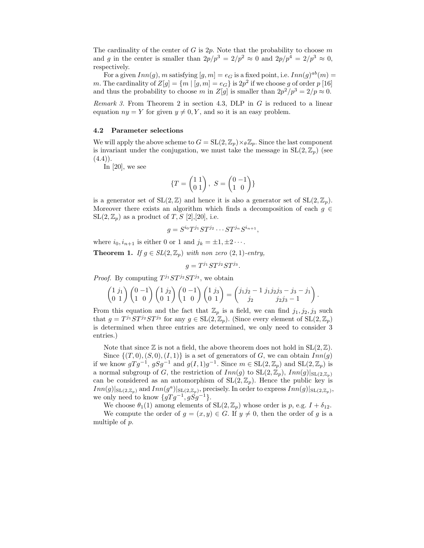The cardinality of the center of G is  $2p$ . Note that the probability to choose m and g in the center is smaller than  $2p/p^3 = 2/p^2 \approx 0$  and  $2p/p^4 = 2/p^3 \approx 0$ , respectively.

For a given  $Inn(g)$ , m satisfying  $[g, m] = e_G$  is a fixed point, i.e.  $Inn(g)^{ab}(m) =$ *m*. The cardinality of  $Z[g] = \{m \mid [g, m] = e_G\}$  is  $2p^2$  if we choose g of order p [16] and thus the probability to choose m in  $Z[g]$  is smaller than  $2p^2/p^3 = 2/p \approx 0$ .

Remark 3. From Theorem 2 in section 4.3, DLP in G is reduced to a linear equation  $ny = Y$  for given  $y \neq 0, Y$ , and so it is an easy problem.

#### 4.2 Parameter selections

We will apply the above scheme to  $G = SL(2, \mathbb{Z}_p) \times_{\theta} \mathbb{Z}_p$ . Since the last component is invariant under the conjugation, we must take the message in  $SL(2,\mathbb{Z}_p)$  (see  $(4.4)$ .

In [20], we see

$$
\{T = \begin{pmatrix} 1 & 1 \\ 0 & 1 \end{pmatrix}, \ S = \begin{pmatrix} 0 & -1 \\ 1 & 0 \end{pmatrix} \}
$$

is a generator set of  $SL(2,\mathbb{Z})$  and hence it is also a generator set of  $SL(2,\mathbb{Z}_p)$ . Moreover there exists an algorithm which finds a decomposition of each  $g \in$  $SL(2,\mathbb{Z}_p)$  as a product of  $T, S$  [2], [20], i.e.

$$
g = S^{i_0}T^{j_1}ST^{j_2}\cdots ST^{j_n}S^{i_{n+1}},
$$

where  $i_0, i_{n+1}$  is either 0 or 1 and  $j_k = \pm 1, \pm 2 \cdots$ .

**Theorem 1.** If  $g \in SL(2, \mathbb{Z}_p)$  with non zero  $(2, 1)$ -entry,

$$
g = T^{j_1}ST^{j_2}ST^{j_3}.
$$

*Proof.* By computing  $T^{j_1}ST^{j_2}ST^{j_3}$ , we obtain

$$
\begin{pmatrix} 1 & j_1 \\ 0 & 1 \end{pmatrix} \begin{pmatrix} 0 & -1 \\ 1 & 0 \end{pmatrix} \begin{pmatrix} 1 & j_2 \\ 0 & 1 \end{pmatrix} \begin{pmatrix} 0 & -1 \\ 1 & 0 \end{pmatrix} \begin{pmatrix} 1 & j_3 \\ 0 & 1 \end{pmatrix} = \begin{pmatrix} j_1 j_2 - 1 & j_1 j_2 j_3 - j_3 - j_1 \\ j_2 & j_2 j_3 - 1 \end{pmatrix}.
$$

From this equation and the fact that  $\mathbb{Z}_p$  is a field, we can find  $j_1, j_2, j_3$  such that  $g = T^{j_1}ST^{j_2}ST^{j_3}$  for any  $g \in SL(2, \mathbb{Z}_p)$ . (Since every element of  $SL(2, \mathbb{Z}_p)$ is determined when three entries are determined, we only need to consider 3 entries.)

Note that since  $\mathbb Z$  is not a field, the above theorem does not hold in  $SL(2,\mathbb Z)$ .

Since  $\{(T, 0), (S, 0), (I, 1)\}\$ is a set of generators of G, we can obtain  $Inn(g)$ if we know  $gTg^{-1}$ ,  $gSg^{-1}$  and  $g(I, 1)g^{-1}$ . Since  $m \in SL(2, \mathbb{Z}_p)$  and  $SL(2, \mathbb{Z}_p)$  is a normal subgroup of G, the restriction of  $Inn(g)$  to  $SL(2,\mathbb{Z}_p)$ ,  $Inn(g)|_{SL(2,\mathbb{Z}_p)}$ can be considered as an automorphism of  $SL(2,\mathbb{Z}_p)$ . Hence the public key is  $Inn(g)|_{\mathrm{SL}(2,\mathbb{Z}_p)}$  and  $Inn(g^a)|_{\mathrm{SL}(2,\mathbb{Z}_p)}$ , precisely. In order to express  $Inn(g)|_{\mathrm{SL}(2,\mathbb{Z}_p)}$ , we only need to know  $\{gTg^{-1}, gSg^{-1}\}.$ 

We choose  $\theta_1(1)$  among elements of  $SL(2,\mathbb{Z}_p)$  whose order is p, e.g.  $I + \delta_{12}$ .

We compute the order of  $g = (x, y) \in G$ . If  $y \neq 0$ , then the order of g is a multiple of p.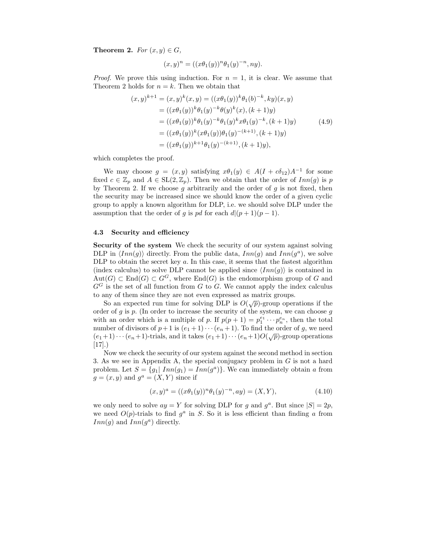**Theorem 2.** For  $(x, y) \in G$ ,

$$
(x,y)^n = ((x\theta_1(y))^n \theta_1(y)^{-n}, ny).
$$

*Proof.* We prove this using induction. For  $n = 1$ , it is clear. We assume that Theorem 2 holds for  $n = k$ . Then we obtain that

$$
(x,y)^{k+1} = (x,y)^k (x,y) = ((x\theta_1(y))^k \theta_1(b)^{-k}, ky)(x,y)
$$
  
\n
$$
= ((x\theta_1(y))^k \theta_1(y)^{-k} \theta(y)^k (x), (k+1)y)
$$
  
\n
$$
= ((x\theta_1(y))^k \theta_1(y)^{-k} \theta_1(y)^k x \theta_1(y)^{-k}, (k+1)y)
$$
  
\n
$$
= ((x\theta_1(y))^k (x\theta_1(y)) \theta_1(y)^{-(k+1)}, (k+1)y)
$$
  
\n
$$
= ((x\theta_1(y))^{k+1} \theta_1(y)^{-(k+1)}, (k+1)y),
$$
 (4.9)

which completes the proof.

We may choose  $g = (x, y)$  satisfying  $x\theta_1(y) \in A(I + c\delta_{12})A^{-1}$  for some fixed  $c \in \mathbb{Z}_p$  and  $A \in SL(2,\mathbb{Z}_p)$ . Then we obtain that the order of  $Inn(g)$  is p by Theorem 2. If we choose  $g$  arbitrarily and the order of  $g$  is not fixed, then the security may be increased since we should know the order of a given cyclic group to apply a known algorithm for DLP, i.e. we should solve DLP under the assumption that the order of g is pd for each  $d|(p+1)(p-1)$ .

#### 4.3 Security and efficiency

Security of the system We check the security of our system against solving DLP in  $\langle Inn(g) \rangle$  directly. From the public data,  $Inn(g)$  and  $Inn(g^a)$ , we solve DLP to obtain the secret key  $a$ . In this case, it seems that the fastest algorithm (index calculus) to solve DLP cannot be applied since  $\langle Inn(g) \rangle$  is contained in  $Aut(G) \subset End(G) \subset G^G$ , where  $End(G)$  is the endomorphism group of G and  $G^G$  is the set of all function from G to G. We cannot apply the index calculus to any of them since they are not even expressed as matrix groups.

So an expected run time for solving DLP is  $O(\sqrt{p})$ -group operations if the order of  $g$  is  $p$ . (In order to increase the security of the system, we can choose  $g$ with an order which is a multiple of p. If  $p(p + 1) = p_1^{e_1} \cdots p_n^{e_n}$ , then the total number of divisors of  $p+1$  is  $(e_1 + 1) \cdots (e_n + 1)$ . To find the order of g, we need  $(e_1+1)\cdots(e_n+1)$ -trials, and it takes  $(e_1+1)\cdots(e_n+1)O(\sqrt{p})$ -group operations  $[17]$ .)

Now we check the security of our system against the second method in section 3. As we see in Appendix A, the special conjugacy problem in  $G$  is not a hard problem. Let  $S = \{g_1 | Im(g_1) = Im(g^a)\}\.$  We can immediately obtain a from  $g = (x, y)$  and  $g<sup>a</sup> = (X, Y)$  since if

$$
(x,y)^a = ((x\theta_1(y))^n \theta_1(y)^{-n}, ay) = (X,Y),
$$
\n(4.10)

we only need to solve  $ay = Y$  for solving DLP for g and  $g^a$ . But since  $|S| = 2p$ , we need  $O(p)$ -trials to find  $g^a$  in S. So it is less efficient than finding a from  $Inn(g)$  and  $Inn(g<sup>a</sup>)$  directly.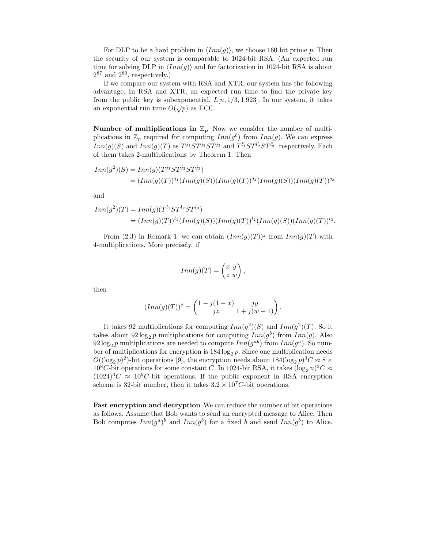For DLP to be a hard problem in  $\langle Inn(g) \rangle$ , we choose 160 bit prime p. Then the security of our system is comparable to 1024-bit RSA. (An expected run time for solving DLP in  $\langle Inn(g) \rangle$  and for factorization in 1024-bit RSA is about  $2^{87}$  and  $2^{80}$ , respectively.)

If we compare our system with RSA and XTR, our system has the following advantage. In RSA and XTR, an expected run time to find the private key from the public key is subexponential,  $L[n, 1/3, 1.923]$ . In our system, it takes an exponential run time  $O(\sqrt{p})$  as ECC.

Number of multiplications in  $\mathbb{Z}_p$  Now we consider the number of multiplications in  $\mathbb{Z}_p$  required for computing  $Inn(g^b)$  from  $Inn(g)$ . We can express  $Inn(g)(S)$  and  $Inn(g)(T)$  as  $T^{j_1}ST^{j_2}ST^{j_3}$  and  $T^{l'_1}ST^{l'_2}ST^{l'_3}$ , respectively. Each of them takes 2-multiplications by Theorem 1. Then

$$
Inn(g^{2})(S) = Inn(g)(T^{j_1}ST^{j_2}ST^{j_3})
$$
  
=  $(Inn(g)(T))^{j_1}(Inn(g)(S))(Inn(g)(T))^{j_2}(Inn(g)(S))(Inn(g)(T))^{j_3}$ 

and

$$
Inn(g^{2})(T) = Inn(g)(T^{l_{1}}ST^{l_{2}}ST^{l_{3}})
$$
  
= 
$$
(Inn(g)(T))^{l_{1}}(Inn(g)(S))(Inn(g)(T))^{l_{2}}(Inn(g)(S))(Inn(g)(T))^{l_{3}}.
$$

From (2.3) in Remark 1, we can obtain  $(Inn(g)(T))^j$  from  $Inn(g)(T)$  with 4-multiplications. More precisely, if

$$
Inn(g)(T) = \begin{pmatrix} x & y \\ z & w \end{pmatrix},
$$

then

$$
(Inn(g)(T))^j = \begin{pmatrix} 1 - j(1-x) & jy \\ jz & 1 + j(w-1) \end{pmatrix}.
$$

It takes 92 multiplications for computing  $Inn(g^2)(S)$  and  $Inn(g^2)(T)$ . So it takes about  $92 \log_2 p$  multiplications for computing  $Inn(g^b)$  from  $Inn(g)$ . Also  $92 \log_2 p$  multiplications are needed to compute  $Inn(g^{ab})$  from  $Inn(g^a)$ . So number of multiplications for encryption is  $184 \log_2 p$ . Since one multiplication needs  $O((\log_2 p)^2)$ -bit operations [9], the encryption needs about  $184(\log_2 p)^3C \approx 8 \times$  $10^8C$ -bit operations for some constant C. In 1024-bit RSA, it takes  $(\log_2 n)^3C \approx$  $(1024)^3C \approx 10^9C$ -bit operations. If the public exponent in RSA encryption scheme is 32-bit number, then it takes  $3.2 \times 10^7 C$ -bit operations.

Fast encryption and decryption We can reduce the number of bit operations as follows. Assume that Bob wants to send an encrypted message to Alice. Then Bob computes  $Inn(g<sup>a</sup>)<sup>b</sup>$  and  $Inn(g<sup>b</sup>)$  for a fixed b and send  $Inn(g<sup>b</sup>)$  to Alice.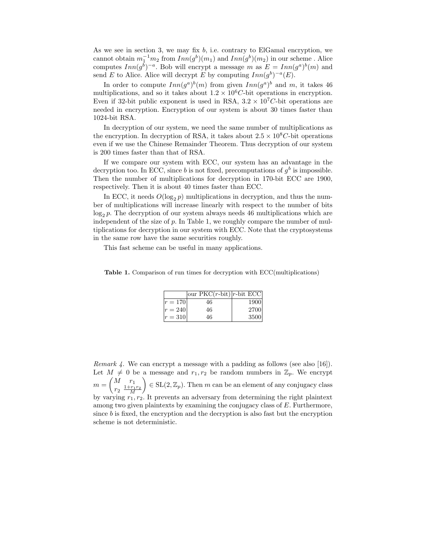As we see in section 3, we may fix  $b$ , i.e. contrary to ElGamal encryption, we cannot obtain  $m_1^{-1}m_2$  from  $Inn(g^b)(m_1)$  and  $Inn(g^b)(m_2)$  in our scheme. Alice computes  $Inn(g^b)^{-a}$ . Bob will encrypt a message m as  $E = Inn(g^a)^b(m)$  and send E to Alice. Alice will decrypt E by computing  $Inn(g^b)^{-a}(E)$ .

In order to compute  $Inn(g<sup>a</sup>)<sup>b</sup>(m)$  from given  $Inn(g<sup>a</sup>)<sup>b</sup>$  and m, it takes 46 multiplications, and so it takes about  $1.2 \times 10^{6} C$ -bit operations in encryption. Even if 32-bit public exponent is used in RSA,  $3.2 \times 10^{7} C$ -bit operations are needed in encryption. Encryption of our system is about 30 times faster than 1024-bit RSA.

In decryption of our system, we need the same number of multiplications as the encryption. In decryption of RSA, it takes about  $2.5 \times 10^8 C$ -bit operations even if we use the Chinese Remainder Theorem. Thus decryption of our system is 200 times faster than that of RSA.

If we compare our system with ECC, our system has an advantage in the decryption too. In ECC, since b is not fixed, precomputations of  $g^b$  is impossible. Then the number of multiplications for decryption in 170-bit ECC are 1900, respectively. Then it is about 40 times faster than ECC.

In ECC, it needs  $O(\log_2 p)$  multiplications in decryption, and thus the number of multiplications will increase linearly with respect to the number of bits  $\log_2 p$ . The decryption of our system always needs 46 multiplications which are independent of the size of  $p$ . In Table 1, we roughly compare the number of multiplications for decryption in our system with ECC. Note that the cryptosystems in the same row have the same securities roughly.

This fast scheme can be useful in many applications.

Table 1. Comparison of run times for decryption with ECC(multiplications)

|           | our $PKC(r-bit)$ r-bit ECC |      |
|-----------|----------------------------|------|
| $r = 170$ | 46                         | 1900 |
| $r = 240$ | 46                         | 2700 |
| $r = 310$ | 46                         | 3500 |

Remark 4. We can encrypt a message with a padding as follows (see also [16]). Let  $M \neq 0$  be a message and  $r_1, r_2$  be random numbers in  $\mathbb{Z}_p$ . We encrypt  $m = \begin{pmatrix} M & r_1 \\ r & 1+r_1 \end{pmatrix}$  $r_2 \frac{1+r_1r_2}{M}$  $\Big) \in SL(2,\mathbb{Z}_p)$ . Then m can be an element of any conjugacy class by varying  $r_1, r_2$ . It prevents an adversary from determining the right plaintext among two given plaintexts by examining the conjugacy class of  $E$ . Furthermore, since b is fixed, the encryption and the decryption is also fast but the encryption scheme is not deterministic.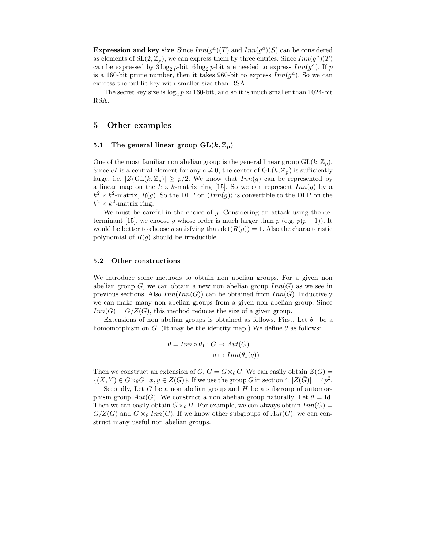Expression and key size Since  $Inn(g^a)(T)$  and  $Inn(g^a)(S)$  can be considered as elements of  $SL(2, \mathbb{Z}_p)$ , we can express them by three entries. Since  $Inn(g^a)(T)$ can be expressed by  $3\log_2 p$ -bit,  $6\log_2 p$ -bit are needed to express  $Inn(g^a)$ . If  $p$ is a 160-bit prime number, then it takes 960-bit to express  $Inn(g<sup>a</sup>)$ . So we can express the public key with smaller size than RSA.

The secret key size is  $\log_2 p \approx 160$ -bit, and so it is much smaller than 1024-bit RSA.

## 5 Other examples

#### 5.1 The general linear group  $GL(k, \mathbb{Z}_n)$

One of the most familiar non abelian group is the general linear group  $GL(k, \mathbb{Z}_p)$ . Since cI is a central element for any  $c \neq 0$ , the center of  $GL(k,\mathbb{Z}_p)$  is sufficiently large, i.e.  $|Z(\text{GL}(k,\mathbb{Z}_p))| \geq p/2$ . We know that  $Inn(g)$  can be represented by a linear map on the  $k \times k$ -matrix ring [15]. So we can represent  $Inn(g)$  by a  $k^2 \times k^2$ -matrix,  $R(g)$ . So the DLP on  $\langle Inn(g) \rangle$  is convertible to the DLP on the  $k^2 \times k^2$ -matrix ring.

We must be careful in the choice of  $g$ . Considering an attack using the determinant [15], we choose g whose order is much larger than p (e.g.  $p(p-1)$ ). It would be better to choose g satisfying that  $\det(R(q)) = 1$ . Also the characteristic polynomial of  $R(q)$  should be irreducible.

#### 5.2 Other constructions

We introduce some methods to obtain non abelian groups. For a given non abelian group  $G$ , we can obtain a new non abelian group  $Inn(G)$  as we see in previous sections. Also  $Inn(Inn(G))$  can be obtained from  $Inn(G)$ . Inductively we can make many non abelian groups from a given non abelian group. Since  $Inn(G) = G/Z(G)$ , this method reduces the size of a given group.

Extensions of non abelian groups is obtained as follows. First, Let  $\theta_1$  be a homomorphism on G. (It may be the identity map.) We define  $\theta$  as follows:

$$
\theta = Inn \circ \theta_1 : G \to Aut(G)
$$

$$
g \mapsto Inn(\theta_1(g))
$$

Then we construct an extension of  $G, \overline{G} = G \times_{\theta} G$ . We can easily obtain  $Z(\overline{G}) =$  $\{(X,Y)\in G\times_{\theta}G\mid x,y\in Z(G)\}$ . If we use the group G in section 4,  $|Z(\bar{G})|=4p^2$ .

Secondly, Let  $G$  be a non abelian group and  $H$  be a subgroup of automorphism group  $Aut(G)$ . We construct a non abelian group naturally. Let  $\theta = Id$ . Then we can easily obtain  $G \times_{\theta} H$ . For example, we can always obtain  $Inn(G)$  =  $G/Z(G)$  and  $G \times_{\theta} Inn(G)$ . If we know other subgroups of  $Aut(G)$ , we can construct many useful non abelian groups.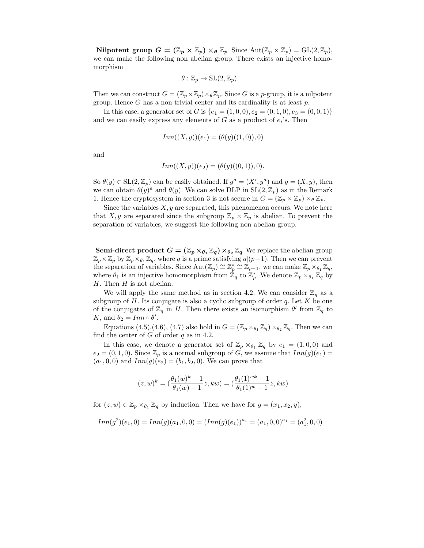Nilpotent group  $G = (\mathbb{Z}_p \times \mathbb{Z}_p) \times_{\theta} \mathbb{Z}_p$  Since  $\text{Aut}(\mathbb{Z}_p \times \mathbb{Z}_p) = \text{GL}(2, \mathbb{Z}_p)$ , we can make the following non abelian group. There exists an injective homomorphism

$$
\theta: \mathbb{Z}_p \to \mathrm{SL}(2,\mathbb{Z}_p).
$$

Then we can construct  $G = (\mathbb{Z}_p \times \mathbb{Z}_p) \times_{\theta} \mathbb{Z}_p$ . Since G is a p-group, it is a nilpotent group. Hence  $G$  has a non trivial center and its cardinality is at least  $p$ .

In this case, a generator set of G is  $\{e_1 = (1, 0, 0), e_2 = (0, 1, 0), e_3 = (0, 0, 1)\}\$ and we can easily express any elements of  $G$  as a product of  $e_i$ 's. Then

$$
Inn((X, y))(e_1) = (\theta(y)((1, 0)), 0)
$$

and

$$
Inn((X, y))(e_2) = (\theta(y)((0, 1)), 0).
$$

So  $\theta(y) \in SL(2, \mathbb{Z}_p)$  can be easily obtained. If  $g^a = (X', y^a)$  and  $g = (X, y)$ , then we can obtain  $\theta(y)^a$  and  $\theta(y)$ . We can solve DLP in  $SL(2,\mathbb{Z}_p)$  as in the Remark 1. Hence the cryptosystem in section 3 is not secure in  $G = (\mathbb{Z}_p \times \mathbb{Z}_p) \times_{\theta} \mathbb{Z}_p$ .

Since the variables  $X, y$  are separated, this phenomenon occurs. We note here that X, y are separated since the subgroup  $\mathbb{Z}_p \times \mathbb{Z}_p$  is abelian. To prevent the separation of variables, we suggest the following non abelian group.

**Semi-direct product**  $G = (\mathbb{Z}_p \times_{\theta_1} \mathbb{Z}_q) \times_{\theta_2} \mathbb{Z}_q$  We replace the abelian group  $\mathbb{Z}_p\times\mathbb{Z}_p$  by  $\mathbb{Z}_p\times_{\theta_1}\mathbb{Z}_q$ , where q is a prime satisfying  $q|(p-1)$ . Then we can prevent the separation of variables. Since  $\mathrm{Aut}(\mathbb{Z}_p) \cong \mathbb{Z}_p^* \cong \mathbb{Z}_{p-1}$ , we can make  $\mathbb{Z}_p \times_{\theta_1} \mathbb{Z}_q$ , where  $\theta_1$  is an injective homomorphism from  $\mathbb{Z}_q$  to  $\mathbb{Z}_p^*$ . We denote  $\mathbb{Z}_p \times_{\theta_1} \mathbb{Z}_q$  by  $H$ . Then  $H$  is not abelian.

We will apply the same method as in section 4.2. We can consider  $\mathbb{Z}_q$  as a subgroup of  $H$ . Its conjugate is also a cyclic subgroup of order  $q$ . Let  $K$  be one of the conjugates of  $\mathbb{Z}_q$  in H. Then there exists an isomorphism  $\theta'$  from  $\mathbb{Z}_q$  to K, and  $\theta_2 = Inn \circ \theta'$ .

Equations (4.5), (4.6), (4.7) also hold in  $G = (\mathbb{Z}_p \times_{\theta_1} \mathbb{Z}_q) \times_{\theta_2} \mathbb{Z}_q$ . Then we can find the center of G of order  $q$  as in 4.2.

In this case, we denote a generator set of  $\mathbb{Z}_p \times_{\theta_1} \mathbb{Z}_q$  by  $e_1 = (1, 0, 0)$  and  $e_2 = (0, 1, 0)$ . Since  $\mathbb{Z}_p$  is a normal subgroup of G, we assume that  $Inn(g)(e_1) =$  $(a_1, 0, 0)$  and  $Inn(g)(e_2) = (b_1, b_2, 0)$ . We can prove that

$$
(z,w)^k=(\frac{\theta_1(w)^k-1}{\theta_1(w)-1}z,kw)=(\frac{\theta_1(1)^{wk}-1}{\theta_1(1)^w-1}z,kw)
$$

for  $(z, w) \in \mathbb{Z}_p \times_{\theta_1} \mathbb{Z}_q$  by induction. Then we have for  $g = (x_1, x_2, y)$ ,

$$
Inn(g^{2})(e_{1},0) = Inn(g)(a_{1},0,0) = (Inn(g)(e_{1}))^{a_{1}} = (a_{1},0,0)^{a_{1}} = (a_{1}^{2},0,0)
$$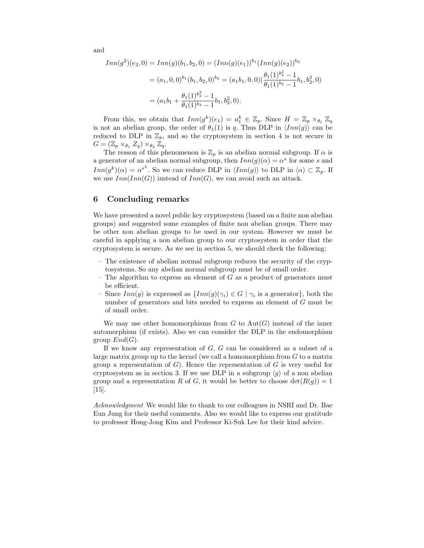$Inn(g^2)(e_2, 0) = Inn(g)(b_1, b_2, 0) = (Inn(g)(e_1))^{b_1}(Inn(g)(e_2))^{b_2}$  $=(a_1, 0, 0)^{b_1} (b_1, b_2, 0)^{b_2} = (a_1b_1, 0, 0) (\frac{\theta_1(1)^{b_2^2}-1}{\theta_1(1)b_2-1})$  $\frac{\theta_1(1)^2-1}{\theta_1(1)^{b_2}-1}b_1, b_2^2, 0$  $=(a_1b_1+\frac{\theta_1(1)^{b_2^2}-1}{\theta_1(1)b_2-1})$  $\frac{\theta_1(1)^2-1}{\theta_1(1)^{b_2}-1}b_1, b_2^2, 0).$ 

From this, we obtain that  $Inn(g^k)(e_1) = a_1^k \in \mathbb{Z}_p$ . Since  $H = \mathbb{Z}_p \times_{\theta_1} \mathbb{Z}_q$ is not an abelian group, the order of  $\theta_1(1)$  is q. Thus DLP in  $\langle Inn(g) \rangle$  can be reduced to DLP in  $\mathbb{Z}_p$ , and so the cryptosystem in section 4 is not secure in  $G = (\mathbb{Z}_p \times_{\theta_1} \mathbb{Z}_q) \times_{\theta_2} \mathbb{Z}_q.$ 

The reason of this phenomenon is  $\mathbb{Z}_p$  is an abelian normal subgroup. If  $\alpha$  is a generator of an abelian normal subgroup, then  $Inn(g)(\alpha) = \alpha^s$  for some s and  $Inn(g^k)(\alpha) = \alpha^{s^k}$ . So we can reduce DLP in  $\langle Inn(g) \rangle$  to DLP in  $\langle \alpha \rangle \subset \mathbb{Z}_p$ . If we use  $Inn(Inn(G))$  instead of  $Inn(G)$ , we can avoid such an attack.

## 6 Concluding remarks

We have presented a novel public key cryptosystem (based on a finite non abelian groups) and suggested some examples of finite non abelian groups. There may be other non abelian groups to be used in our system. However we must be careful in applying a non abelian group to our cryptosystem in order that the cryptosystem is secure. As we see in section 5, we should check the following:

- The existence of abelian normal subgroup reduces the security of the cryptosystems. So any abelian normal subgroup must be of small order.
- The algorithm to express an element of  $G$  as a product of generators must be efficient.
- Since  $Inn(g)$  is expressed as  $\{Inn(g)(\gamma_i) \in G \mid \gamma_i \text{ is a generator}\},$  both the number of generators and bits needed to express an element of  $G$  must be of small order.

We may use other homomorphisms from  $G$  to  $Aut(G)$  instead of the inner automorphism (if exists). Also we can consider the DLP in the endomorphism group  $End(G)$ .

If we know any representation of  $G$ ,  $G$  can be considered as a subset of a large matrix group up to the kernel (we call a homomorphism from  $G$  to a matrix group a representation of  $G$ ). Hence the representation of  $G$  is very useful for cryptosystem as in section 3. If we use DLP in a subgroup  $\langle q \rangle$  of a non abelian group and a representation R of G, it would be better to choose  $\det(R(q)) = 1$ [15].

Acknowledgment We would like to thank to our colleagues in NSRI and Dr. Bae Eun Jung for their useful comments. Also we would like to express our gratitude to professor Hong-Jong Kim and Professor Ki-Suk Lee for their kind advice.

and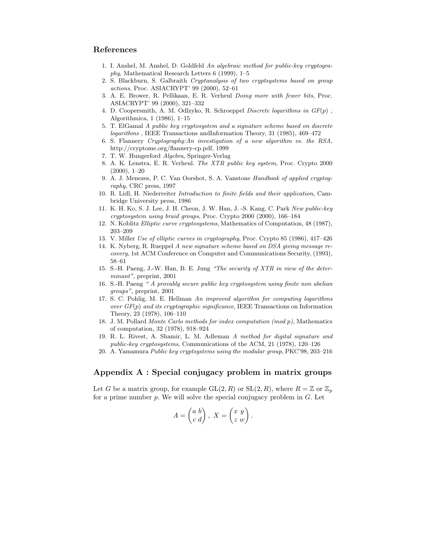# References

- 1. I. Anshel, M. Anshel, D. Goldfeld An algebraic method for public-key cryptography, Mathematical Research Letters 6 (1999), 1–5
- 2. S. Blackburn, S. Galbraith Cryptanalysis of two cryptsystems based on group actions, Proc. ASIACRYPT' 99 (2000), 52–61
- 3. A. E. Brower, R. Pellikaan, E. R. Verheul Doing more with fewer bits, Proc. ASIACRYPT' 99 (2000), 321–332
- 4. D. Coopersmith, A. M. Odlzyko, R. Schroeppel Discrete logarithms in  $GF(p)$ , Algorithmica, 1 (1986), 1–15
- 5. T. ElGamal A public key cryptosystem and a signature scheme based on discrete logarithms , IEEE Transactions andInformation Theory, 31 (1985), 469–472
- 6. S. Flannery Cryptography:An investigation of a new algorithm vs. the RSA, http://cryptome.org/flannery-cp.pdf, 1999
- 7. T. W. Hungerford Algebra, Springer-Verlag
- 8. A. K. Lenstra, E. R. Verheul. The XTR public key system, Proc. Crypto 2000 (2000), 1–20
- 9. A. J. Menezes, P. C. Van Oorshot, S. A. Vanstone Handbook of applied cryptography, CRC press, 1997
- 10. R. Lidl, H. Niederreiter Introduction to finite fields and their application, Cambridge University press, 1986
- 11. K. H. Ko, S. J. Lee, J. H. Cheon, J. W. Han, J. -S. Kang, C. Park New public-key cryptosystem using braid groups, Proc. Crypto 2000 (2000), 166–184
- 12. N. Koblitz Elliptic curve cryptosystems, Mathematics of Computation, 48 (1987), 203–209
- 13. V. Miller Use of elliptic curves in cryptography, Proc. Crypto 85 (1986), 417–426
- 14. K. Nyberg, R. Rueppel A new signature scheme based on DSA giving message recovery, 1st ACM Conference on Computer and Communications Security, (1993), 58–61
- 15. S.-H. Paeng, J.-W. Han, B. E. Jung "The security of XTR in view of the determinant", preprint, 2001
- 16. S.-H. Paeng " A provably secure public key cryptosystem using finite non abelian groups", preprint, 2001
- 17. S. C. Pohlig, M. E. Hellman An improved algorithm for computing logarithms over  $GF(p)$  and its cryptographic significance, IEEE Transactions on Information Theory, 23 (1978), 106–110
- 18. J. M. Pollard Monte Carlo methods for index computation (mod p), Mathematics of computation, 32 (1978), 918–924
- 19. R. L. Rivest, A. Shamir, L. M. Adleman A method for digital signature and public-key cryptosystems, Communications of the ACM, 21 (1978), 120–126
- 20. A. Yamamura Public key cryptsystems using the modular group, PKC'98, 203–216

# Appendix A : Special conjugacy problem in matrix groups

Let G be a matrix group, for example  $GL(2, R)$  or  $SL(2, R)$ , where  $R = \mathbb{Z}$  or  $\mathbb{Z}_p$ for a prime number  $p$ . We will solve the special conjugacy problem in  $G$ . Let

$$
A = \begin{pmatrix} a & b \\ c & d \end{pmatrix}, \ X = \begin{pmatrix} x & y \\ z & w \end{pmatrix}.
$$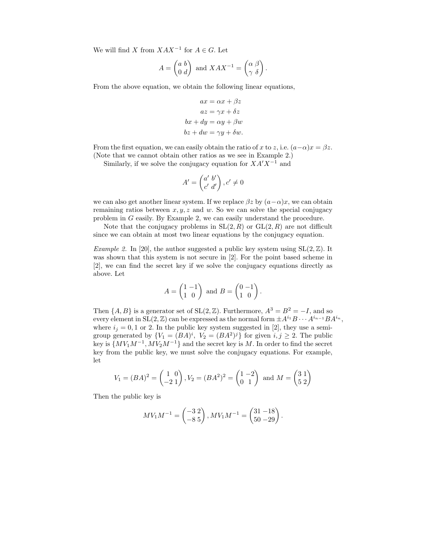We will find X from  $XAX^{-1}$  for  $A \in G$ . Let

$$
A = \begin{pmatrix} a & b \\ 0 & d \end{pmatrix} \text{ and } XAX^{-1} = \begin{pmatrix} \alpha & \beta \\ \gamma & \delta \end{pmatrix}.
$$

From the above equation, we obtain the following linear equations,

$$
ax = \alpha x + \beta z
$$

$$
az = \gamma x + \delta z
$$

$$
bx + dy = \alpha y + \beta w
$$

$$
bz + dw = \gamma y + \delta w.
$$

From the first equation, we can easily obtain the ratio of x to z, i.e.  $(a-\alpha)x = \beta z$ . (Note that we cannot obtain other ratios as we see in Example 2.)

Similarly, if we solve the conjugacy equation for  $XA'X^{-1}$  and

$$
A' = \begin{pmatrix} a' & b' \\ c' & d' \end{pmatrix}, c' \neq 0
$$

we can also get another linear system. If we replace  $\beta z$  by  $(a-\alpha)x$ , we can obtain remaining ratios between  $x, y, z$  and w. So we can solve the special conjugacy problem in G easily. By Example 2, we can easily understand the procedure.

Note that the conjugacy problems in  $SL(2, R)$  or  $GL(2, R)$  are not difficult since we can obtain at most two linear equations by the conjugacy equation.

*Example 2.* In [20], the author suggested a public key system using  $SL(2, \mathbb{Z})$ . It was shown that this system is not secure in [2]. For the point based scheme in [2], we can find the secret key if we solve the conjugacy equations directly as above. Let

$$
A = \begin{pmatrix} 1 & -1 \\ 1 & 0 \end{pmatrix} \text{ and } B = \begin{pmatrix} 0 & -1 \\ 1 & 0 \end{pmatrix}.
$$

Then  $\{A, B\}$  is a generator set of SL(2, Z). Furthermore,  $A^3 = B^2 = -I$ , and so every element in SL(2,  $\mathbb{Z}$ ) can be expressed as the normal form  $\pm A^{i_1}B \cdots A^{i_{n-1}}BA^{i_n}$ , where  $i_j = 0, 1$  or 2. In the public key system suggested in [2], they use a semigroup generated by  $\{V_1 = (BA)^i, V_2 = (BA^2)^j\}$  for given  $i, j \ge 2$ . The public key is  $\{MV_1M^{-1}, MV_2M^{-1}\}\$  and the secret key is M. In order to find the secret key from the public key, we must solve the conjugacy equations. For example, let

$$
V_1 = (BA)^2 = \begin{pmatrix} 1 & 0 \\ -2 & 1 \end{pmatrix}, V_2 = (BA^2)^2 = \begin{pmatrix} 1 & -2 \\ 0 & 1 \end{pmatrix} \text{ and } M = \begin{pmatrix} 3 & 1 \\ 5 & 2 \end{pmatrix}
$$

Then the public key is

$$
MV1M-1 = \begin{pmatrix} -3 \ 2 \\ -8 \ 5 \end{pmatrix}, MV1M-1 = \begin{pmatrix} 31 \ -18 \\ 50 \ -29 \end{pmatrix}.
$$